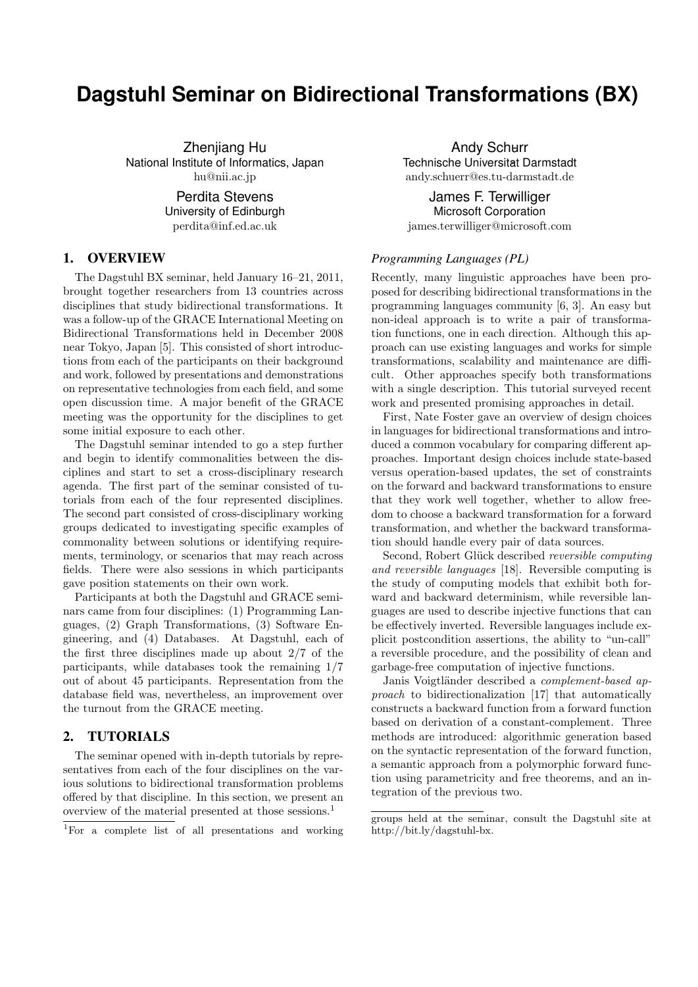# **Dagstuhl Seminar on Bidirectional Transformations (BX)**

Zhenjiang Hu National Institute of Informatics, Japan hu@nii.ac.jp

> Perdita Stevens University of Edinburgh perdita@inf.ed.ac.uk

# 1. OVERVIEW

The Dagstuhl BX seminar, held January 16–21, 2011, brought together researchers from 13 countries across disciplines that study bidirectional transformations. It was a follow-up of the GRACE International Meeting on Bidirectional Transformations held in December 2008 near Tokyo, Japan [5]. This consisted of short introductions from each of the participants on their background and work, followed by presentations and demonstrations on representative technologies from each field, and some open discussion time. A major benefit of the GRACE meeting was the opportunity for the disciplines to get some initial exposure to each other.

The Dagstuhl seminar intended to go a step further and begin to identify commonalities between the disciplines and start to set a cross-disciplinary research agenda. The first part of the seminar consisted of tutorials from each of the four represented disciplines. The second part consisted of cross-disciplinary working groups dedicated to investigating specific examples of commonality between solutions or identifying requirements, terminology, or scenarios that may reach across fields. There were also sessions in which participants gave position statements on their own work.

Participants at both the Dagstuhl and GRACE seminars came from four disciplines: (1) Programming Languages, (2) Graph Transformations, (3) Software Engineering, and (4) Databases. At Dagstuhl, each of the first three disciplines made up about 2/7 of the participants, while databases took the remaining 1/7 out of about 45 participants. Representation from the database field was, nevertheless, an improvement over the turnout from the GRACE meeting.

## 2. TUTORIALS

The seminar opened with in-depth tutorials by representatives from each of the four disciplines on the various solutions to bidirectional transformation problems offered by that discipline. In this section, we present an overview of the material presented at those sessions.<sup>1</sup>

<sup>1</sup>For a complete list of all presentations and working

**Andy Schurr** Technische Universitat Darmstadt andy.schuerr@es.tu-darmstadt.de

James F. Terwilliger Microsoft Corporation james.terwilliger@microsoft.com

## *Programming Languages (PL)*

Recently, many linguistic approaches have been proposed for describing bidirectional transformations in the programming languages community [6, 3]. An easy but non-ideal approach is to write a pair of transformation functions, one in each direction. Although this approach can use existing languages and works for simple transformations, scalability and maintenance are difficult. Other approaches specify both transformations with a single description. This tutorial surveyed recent work and presented promising approaches in detail.

First, Nate Foster gave an overview of design choices in languages for bidirectional transformations and introduced a common vocabulary for comparing different approaches. Important design choices include state-based versus operation-based updates, the set of constraints on the forward and backward transformations to ensure that they work well together, whether to allow freedom to choose a backward transformation for a forward transformation, and whether the backward transformation should handle every pair of data sources.

Second, Robert Glück described reversible computing and reversible languages [18]. Reversible computing is the study of computing models that exhibit both forward and backward determinism, while reversible languages are used to describe injective functions that can be effectively inverted. Reversible languages include explicit postcondition assertions, the ability to "un-call" a reversible procedure, and the possibility of clean and garbage-free computation of injective functions.

Janis Voigtländer described a *complement-based ap*proach to bidirectionalization [17] that automatically constructs a backward function from a forward function based on derivation of a constant-complement. Three methods are introduced: algorithmic generation based on the syntactic representation of the forward function, a semantic approach from a polymorphic forward function using parametricity and free theorems, and an integration of the previous two.

groups held at the seminar, consult the Dagstuhl site at http://bit.ly/dagstuhl-bx.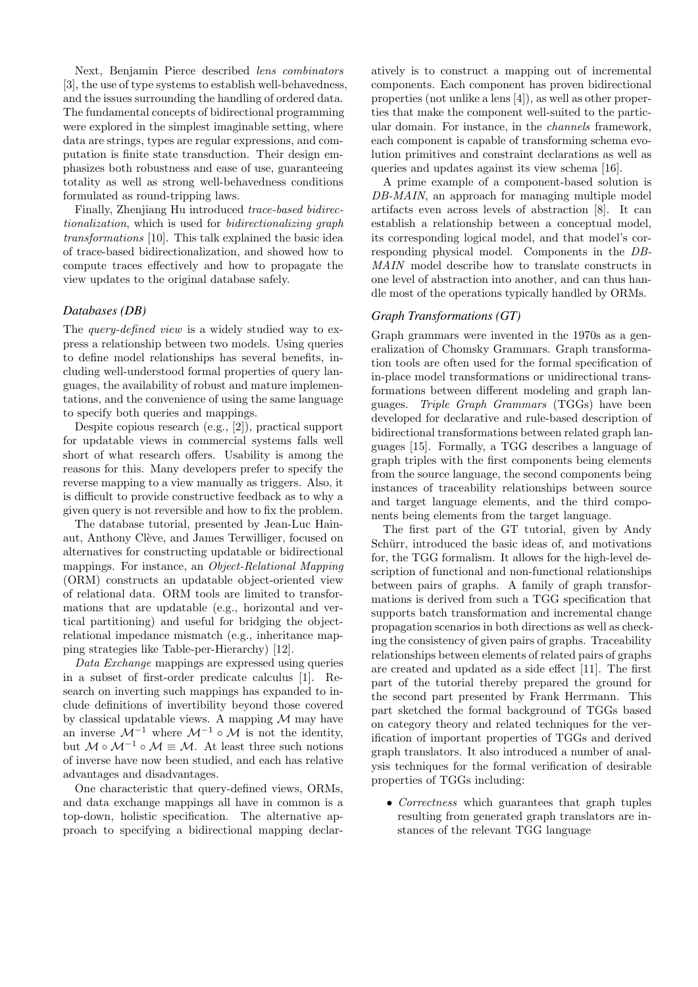Next, Benjamin Pierce described lens combinators [3], the use of type systems to establish well-behavedness, and the issues surrounding the handling of ordered data. The fundamental concepts of bidirectional programming were explored in the simplest imaginable setting, where data are strings, types are regular expressions, and computation is finite state transduction. Their design emphasizes both robustness and ease of use, guaranteeing totality as well as strong well-behavedness conditions formulated as round-tripping laws.

Finally, Zhenjiang Hu introduced trace-based bidirectionalization, which is used for bidirectionalizing graph transformations [10]. This talk explained the basic idea of trace-based bidirectionalization, and showed how to compute traces effectively and how to propagate the view updates to the original database safely.

## *Databases (DB)*

The query-defined view is a widely studied way to express a relationship between two models. Using queries to define model relationships has several benefits, including well-understood formal properties of query languages, the availability of robust and mature implementations, and the convenience of using the same language to specify both queries and mappings.

Despite copious research (e.g., [2]), practical support for updatable views in commercial systems falls well short of what research offers. Usability is among the reasons for this. Many developers prefer to specify the reverse mapping to a view manually as triggers. Also, it is difficult to provide constructive feedback as to why a given query is not reversible and how to fix the problem.

The database tutorial, presented by Jean-Luc Hainaut, Anthony Clève, and James Terwilliger, focused on alternatives for constructing updatable or bidirectional mappings. For instance, an Object-Relational Mapping (ORM) constructs an updatable object-oriented view of relational data. ORM tools are limited to transformations that are updatable (e.g., horizontal and vertical partitioning) and useful for bridging the objectrelational impedance mismatch (e.g., inheritance mapping strategies like Table-per-Hierarchy) [12].

Data Exchange mappings are expressed using queries in a subset of first-order predicate calculus [1]. Research on inverting such mappings has expanded to include definitions of invertibility beyond those covered by classical updatable views. A mapping  $M$  may have an inverse  $\mathcal{M}^{-1}$  where  $\mathcal{M}^{-1} \circ \mathcal{M}$  is not the identity, but  $M \circ M^{-1} \circ M \equiv M$ . At least three such notions of inverse have now been studied, and each has relative advantages and disadvantages.

One characteristic that query-defined views, ORMs, and data exchange mappings all have in common is a top-down, holistic specification. The alternative approach to specifying a bidirectional mapping declar-

atively is to construct a mapping out of incremental components. Each component has proven bidirectional properties (not unlike a lens [4]), as well as other properties that make the component well-suited to the particular domain. For instance, in the channels framework, each component is capable of transforming schema evolution primitives and constraint declarations as well as queries and updates against its view schema [16].

A prime example of a component-based solution is DB-MAIN, an approach for managing multiple model artifacts even across levels of abstraction [8]. It can establish a relationship between a conceptual model, its corresponding logical model, and that model's corresponding physical model. Components in the DB-MAIN model describe how to translate constructs in one level of abstraction into another, and can thus handle most of the operations typically handled by ORMs.

## *Graph Transformations (GT)*

Graph grammars were invented in the 1970s as a generalization of Chomsky Grammars. Graph transformation tools are often used for the formal specification of in-place model transformations or unidirectional transformations between different modeling and graph languages. Triple Graph Grammars (TGGs) have been developed for declarative and rule-based description of bidirectional transformations between related graph languages [15]. Formally, a TGG describes a language of graph triples with the first components being elements from the source language, the second components being instances of traceability relationships between source and target language elements, and the third components being elements from the target language.

The first part of the GT tutorial, given by Andy Schürr, introduced the basic ideas of, and motivations for, the TGG formalism. It allows for the high-level description of functional and non-functional relationships between pairs of graphs. A family of graph transformations is derived from such a TGG specification that supports batch transformation and incremental change propagation scenarios in both directions as well as checking the consistency of given pairs of graphs. Traceability relationships between elements of related pairs of graphs are created and updated as a side effect [11]. The first part of the tutorial thereby prepared the ground for the second part presented by Frank Herrmann. This part sketched the formal background of TGGs based on category theory and related techniques for the verification of important properties of TGGs and derived graph translators. It also introduced a number of analysis techniques for the formal verification of desirable properties of TGGs including:

• Correctness which guarantees that graph tuples resulting from generated graph translators are instances of the relevant TGG language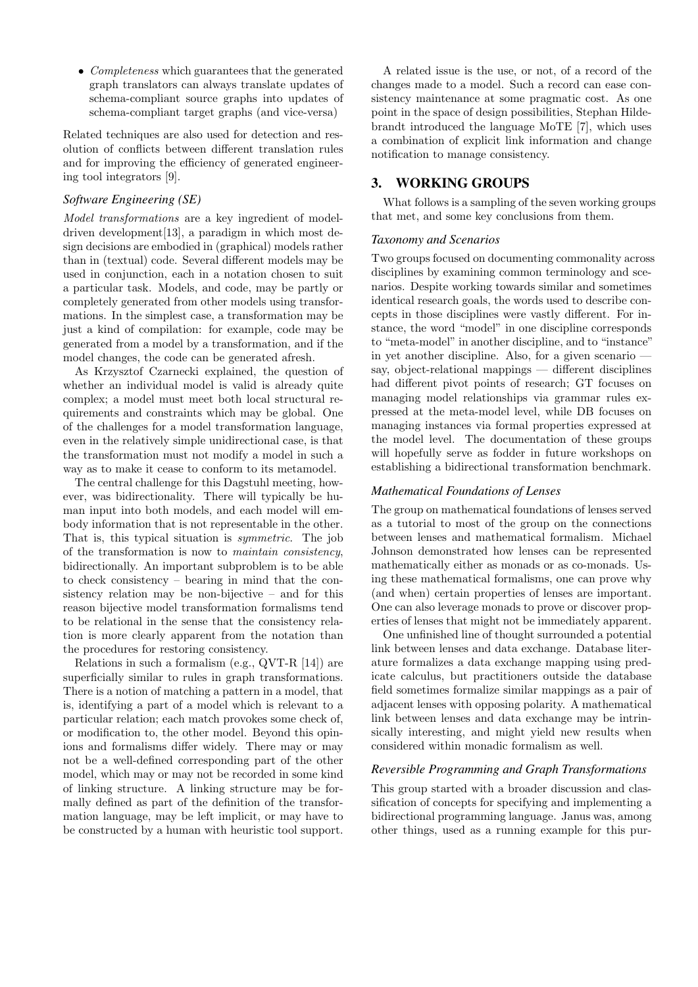• Completeness which guarantees that the generated graph translators can always translate updates of schema-compliant source graphs into updates of schema-compliant target graphs (and vice-versa)

Related techniques are also used for detection and resolution of conflicts between different translation rules and for improving the efficiency of generated engineering tool integrators [9].

## *Software Engineering (SE)*

Model transformations are a key ingredient of modeldriven development[13], a paradigm in which most design decisions are embodied in (graphical) models rather than in (textual) code. Several different models may be used in conjunction, each in a notation chosen to suit a particular task. Models, and code, may be partly or completely generated from other models using transformations. In the simplest case, a transformation may be just a kind of compilation: for example, code may be generated from a model by a transformation, and if the model changes, the code can be generated afresh.

As Krzysztof Czarnecki explained, the question of whether an individual model is valid is already quite complex; a model must meet both local structural requirements and constraints which may be global. One of the challenges for a model transformation language, even in the relatively simple unidirectional case, is that the transformation must not modify a model in such a way as to make it cease to conform to its metamodel.

The central challenge for this Dagstuhl meeting, however, was bidirectionality. There will typically be human input into both models, and each model will embody information that is not representable in the other. That is, this typical situation is symmetric. The job of the transformation is now to maintain consistency, bidirectionally. An important subproblem is to be able to check consistency – bearing in mind that the consistency relation may be non-bijective – and for this reason bijective model transformation formalisms tend to be relational in the sense that the consistency relation is more clearly apparent from the notation than the procedures for restoring consistency.

Relations in such a formalism (e.g., QVT-R [14]) are superficially similar to rules in graph transformations. There is a notion of matching a pattern in a model, that is, identifying a part of a model which is relevant to a particular relation; each match provokes some check of, or modification to, the other model. Beyond this opinions and formalisms differ widely. There may or may not be a well-defined corresponding part of the other model, which may or may not be recorded in some kind of linking structure. A linking structure may be formally defined as part of the definition of the transformation language, may be left implicit, or may have to be constructed by a human with heuristic tool support.

A related issue is the use, or not, of a record of the changes made to a model. Such a record can ease consistency maintenance at some pragmatic cost. As one point in the space of design possibilities, Stephan Hildebrandt introduced the language MoTE [7], which uses a combination of explicit link information and change notification to manage consistency.

# 3. WORKING GROUPS

What follows is a sampling of the seven working groups that met, and some key conclusions from them.

## *Taxonomy and Scenarios*

Two groups focused on documenting commonality across disciplines by examining common terminology and scenarios. Despite working towards similar and sometimes identical research goals, the words used to describe concepts in those disciplines were vastly different. For instance, the word "model" in one discipline corresponds to "meta-model" in another discipline, and to "instance" in yet another discipline. Also, for a given scenario say, object-relational mappings — different disciplines had different pivot points of research; GT focuses on managing model relationships via grammar rules expressed at the meta-model level, while DB focuses on managing instances via formal properties expressed at the model level. The documentation of these groups will hopefully serve as fodder in future workshops on establishing a bidirectional transformation benchmark.

## *Mathematical Foundations of Lenses*

The group on mathematical foundations of lenses served as a tutorial to most of the group on the connections between lenses and mathematical formalism. Michael Johnson demonstrated how lenses can be represented mathematically either as monads or as co-monads. Using these mathematical formalisms, one can prove why (and when) certain properties of lenses are important. One can also leverage monads to prove or discover properties of lenses that might not be immediately apparent.

One unfinished line of thought surrounded a potential link between lenses and data exchange. Database literature formalizes a data exchange mapping using predicate calculus, but practitioners outside the database field sometimes formalize similar mappings as a pair of adjacent lenses with opposing polarity. A mathematical link between lenses and data exchange may be intrinsically interesting, and might yield new results when considered within monadic formalism as well.

## *Reversible Programming and Graph Transformations*

This group started with a broader discussion and classification of concepts for specifying and implementing a bidirectional programming language. Janus was, among other things, used as a running example for this pur